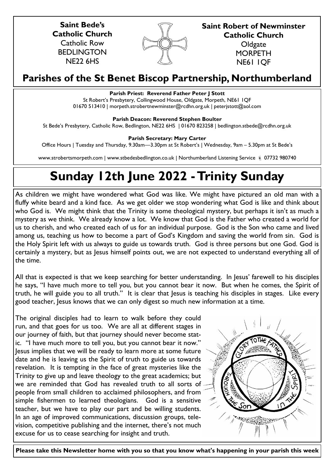**Saint Bede's Catholic Church** Catholic Row BEDLINGTON NE22 6HS



**Saint Robert of Newminster Catholic Church Oldgate MORPETH** 

NE61 1QF

# **Parishes of the St Benet Biscop Partnership, Northumberland**

# **Parish Priest: Reverend Father Peter J Stott**

St Robert's Presbytery, Collingwood House, Oldgate, Morpeth, NE61 1QF 01670 513410 | morpeth.strobertnewminster@rcdhn.org.uk | peterjstott@aol.com

**Parish Deacon: Reverend Stephen Boulter**

St Bede's Presbytery, Catholic Row, Bedlington, NE22 6HS | 01670 823258 | bedlington.stbede@rcdhn.org.uk

**Parish Secretary: Mary Carter** 

Office Hours | Tuesday and Thursday, 9.30am—3.30pm at St Robert's | Wednesday, 9am – 5.30pm at St Bede's

www.strobertsmorpeth.com | www.stbedesbedlington.co.uk | Northumberland Listening Service  $\frac{1}{6}$  07732 980740

# **Sunday 12th June 2022 -Trinity Sunday**

As children we might have wondered what God was like. We might have pictured an old man with a fluffy white beard and a kind face. As we get older we stop wondering what God is like and think about who God is. We might think that the Trinity is some theological mystery, but perhaps it isn't as much a mystery as we think. We already know a lot. We know that God is the Father who created a world for us to cherish, and who created each of us for an individual purpose. God is the Son who came and lived among us, teaching us how to become a part of God's Kingdom and saving the world from sin. God is the Holy Spirit left with us always to guide us towards truth. God is three persons but one God. God is certainly a mystery, but as Jesus himself points out, we are not expected to understand everything all of the time.

All that is expected is that we keep searching for better understanding. In Jesus' farewell to his disciples he says, "I have much more to tell you, but you cannot bear it now. But when he comes, the Spirit of truth, he will guide you to all truth." It is clear that Jesus is teaching his disciples in stages. Like every good teacher, Jesus knows that we can only digest so much new information at a time.

The original disciples had to learn to walk before they could run, and that goes for us too. We are all at different stages in our journey of faith, but that journey should never become static. "I have much more to tell you, but you cannot bear it now." Jesus implies that we will be ready to learn more at some future date and he is leaving us the Spirit of truth to guide us towards revelation. It is tempting in the face of great mysteries like the Trinity to give up and leave theology to the great academics; but we are reminded that God has revealed truth to all sorts of people from small children to acclaimed philosophers, and from simple fishermen to learned theologians. God is a sensitive teacher, but we have to play our part and be willing students. In an age of improved communications, discussion groups, television, competitive publishing and the internet, there's not much excuse for us to cease searching for insight and truth.



**Please take this Newsletter home with you so that you know what's happening in your parish this week**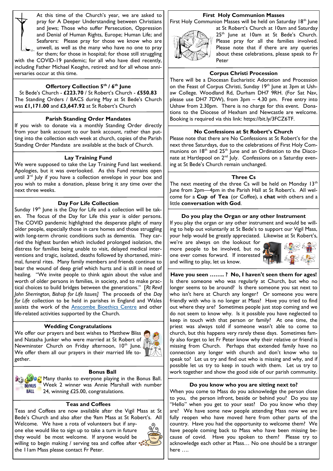At this time of the Church's year, we are asked to pray for A Deeper Understanding between Christians and Jews; Those who suffer Persecution, Oppression and Denial of Human Rights, Europe; Human Life; and Seafarers: Please pray for those we know who are unwell, as well as the many who have no one to pray for them; for those in hospital; for those still struggling

with the COVID-19 pandemic; for all who have died recently, including Father Michael Keoghn, retired: and for all whose anniversaries occur at this time.

# **Offertory Collection 5th / 6th June**

St Bede's Church - **£223.70** / St Robert's Church - **£550.83** The Standing Orders / BACS during May at St Bede's Church was **£1,171.00** and **£3,647.92** at St Robert's Church

#### **Parish Standing Order Mandates**

If you wish to donate via a monthly Standing Order directly from your bank account to our bank account, rather than putting into the collection each week at church, copies of the Parish Standing Order Mandate are available at the back of Church.

#### **Lay Training Fund**

We were supposed to take the Lay Training Fund last weekend. Apologies, but it was overlooked. As this Fund remains open until  $3<sup>rd</sup>$  July if you have a collection envelope in your box and you wish to make a donation, please bring it any time over the next three weeks.

#### **Day For Life Collection**

Sunday 19<sup>th</sup> June is the Day for Life and a collection will be taken. The focus of the Day for Life this year is older persons. The COVID pandemic highlighted the desperate plight of many older people, especially those in care homes and those struggling with long-term chronic conditions such as dementia. They carried the highest burden which included prolonged isolation, the distress for families being unable to visit, delayed medical interventions and tragic, isolated, deaths followed by shortened, minimal, funeral rites. Many family members and friends continue to bear the wound of deep grief which hurts and is still in need of healing. "We invite people to think again about the value and worth of older persons in families, in society, and to make practical choices to build bridges between the generations." [*Rt Revd John Sherrington, Bishop for Life Issues]* The proceeds of the *Day for Life* collection to be held in parishes in England and Wales assists the work of the **[Anscombe Bioethics Centre](http://www.dayforlife.org/anscombe-bioethics-centre/)** and other life-related activities supported by the Church.

#### **Wedding Congratulations**

We offer our prayers and best wishes to Matthew Bliss and Natasha Junker who were married at St Robert of Newminster Church on Friday afternoon, 10<sup>th</sup> June. We offer them all our prayers in their married life together.



#### **Bonus Ball**

Many thanks to everyone playing in the Bonus Ball. Week 2 winner was Annie Marshall with number **BALL** 24, winning £25.00, congratulations.

# **Teas and Coffees**

Teas and Coffees are now available after the Vigil Mass at St Bede's Church and also after the 9am Mass at St Robert's. All Welcome. We have a rota of volunteers but if anyone else would like to sign up to take a turn in future they would be most welcome. If anyone would be willing to begin making / serving tea and coffee after the 11am Mass please contact Fr Peter.

### **First Holy Communion Masses**

First Holy Communion Masses will be held on Saturday 18<sup>th</sup> June



at St Robert's Church at 10am and Saturday  $25<sup>th</sup>$  lune at 10am at St Bede's Church. Please pray for all the families involved. Please note that if there are any queries about these celebrations, please speak to Fr Peter

#### **Corpus Christi Procession**

There will be a Diocesan Eucharistic Adoration and Procession on the Feast of Corpus Christi, Sunday 19<sup>th</sup> June at 3pm at Ushaw College. Woodland Rd, Durham DH7 9RH. (For Sat Nav, please use DH7 7DW), from 3pm – 4.30 pm. Free entry into Ushaw from 2.30pm. There is no charge for this event. Donations to the Diocese of Hexham and Newcastle are welcome. Booking is required via this link: https://bit.ly/3FCZ6TF.

#### **No Confessions at St Robert's Church**

Please note that there are No Confessions at St Robert's for the next three Saturdays, due to the celebrations of First Holy Communions on 18<sup>th</sup> and 25<sup>th</sup> June and an Ordination to the Diaconate at Hartlepool on 2<sup>nd</sup> July. Confessions on a Saturday evening at St Bede's Church remain unchanged.

#### **Three Cs**

The next meeting of the three Cs will be held on Monday  $13<sup>th</sup>$ June from 2pm—4pm in the Parish Hall at St Robert's. All welcome for a **Cup of Tea** (or Coffee), a **chat** with others and a little **conversation with God**.

#### **Do you play the Organ or any other Instrument**

If you play the organ or any other instrument and would be willing to help out voluntarily at St Bede's to support our Vigil Mass, your help would be greatly appreciated. Likewise at St Robert's,

we're are always on the lookout for more people to be involved, but no one ever comes forward. If interested and willing to play, let us know.



**Have you seen …….. ? No, I haven't seen them for ages!** Is there someone who was regularly at Church, but who no longer seems to be around? Is there someone you sat next to who isn't here at Church any longer? Or someone you were friendly with who is no longer at Mass? Have you tried to find out where they are? Sometimes people just stop coming and we do not seem to know why. Is it possible you have neglected to keep in touch with that person or family? At one time, the priest was always told if someone wasn't able to come to church, but this happens very rarely these days. Sometimes family also forget to let Fr Peter know why their relative or friend is missing from Church. Perhaps that extended family have no connection any longer with church and don't know who to speak to? Let us try and find out who is missing and why, and if possible let us try to keep in touch with them. Let us try to work together and show the good side of our parish community.

#### **Do you know who you are sitting next to?**

When you come to Mass do you acknowledge the person close to you, the person infront, beside or behind you? Do you say "Hello" when you get to your seat? Do you know who they are? We have some new people attending Mass now we are fully reopen who have moved here from other parts of the country. Have you had the opportunity to welcome them? We have people coming back to Mass who have been missing because of covid. Have you spoken to them? Please try to acknowledge each other at Mass… No one should be a stranger here ….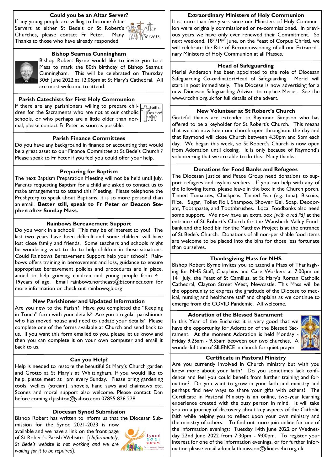# **Could you be an Altar Server?**

If any young people are willing to become Altar Servers at either St Bede's or St Robert's Churches, please contact Fr Peter. Many Thanks to those who have already responded





# **Bishop Seamus Cunningham**

Bishop Robert Byrne would like to invite you to a Mass to mark the 80th birthday of Bishop Seamus Cunningham. This will be celebrated on Thursday 30th June 2022 at 12.05pm at St Mary's Cathedral. All are most welcome to attend.

### **Parish Catechists for First Holy Communion**

If there are any parishioners willing to prepare chil- $\Box$ T $\Box$ Faith... dren for the Sacraments who are not at our catholic schools, or who perhaps are a little older than normal, please contact Fr Peter as soon as possible.

Pass it on! ititi

# **Parish Finance Committees**

Do you have any background in finance or accounting that would be a great asset to our Finance Committee at St Bede's Church ? Please speak to Fr Peter if you feel you could offer your help.

#### **Preparing for Baptism**

The next Baptism Preparation Meeting will not be held until July. Parents requesting Baptism for a child are asked to contact us to make arrangements to attend this Meeting. Please telephone the Presbytery to speak about Baptisms, it is so more personal than an email. **Better still, speak to Fr Peter or Deacon Stephen after Sunday Mass.**

#### **Rainbows Bereavement Support**

Do you work in a school? This may be of interest to you! The last two years have been difficult and some children will have lost close family and friends. Some teachers and schools might be wondering what to do to help children in these situations. Could Rainbows Bereavement Support help your school? Rainbows offers training in bereavement and loss, guidance to ensure appropriate bereavement policies and procedures are in place, aimed to help grieving children and young people from 4 19years of age. Email rainbows.northeast@btconnect.com for more information or check out rainbowsgb.org

# **New Parishioner and Updated Information**

Are you new to the Parish? Have you completed the "Keeping in Touch" form with your details? Are you a regular parishioner who has moved house and need to update your details? Please complete one of the forms available at Church and send back to us. If you want this form emailed to you, please let us know and then you can complete it on your own computer and email it back to us.

#### **Can you Help?**

Help is needed to restore the beautiful St Mary's Church garden and Grotto at St Mary's at Whittingham. If you would like to help, please meet at 1pm every Sunday. Please bring gardening tools, wellies (stream), shovels, hand saws and chainsaws etc. Scones and moral support also welcome. Please contact Dan before coming d.jashton@yahoo.com 07855 826 228

#### **Diocesan Synod Submission**

Bishop Robert has written to inform us that the Diocesan Sub-

mission for the Synod 2021-2023 is now available and we have a link on the front page of St Robert's Parish Website. [*Unfortunately, St Bede's website is not working and we are waiting for it to be repaired}.* 



#### **Extraordinary Ministers of Holy Communion**

It is more than five years since our Ministers of Holy Communion were originally commissioned or re-commissioned. In previous years we have only ever renewed their Commitment. So next weekend, 18<sup>th</sup>/19<sup>th</sup> June, on the Feast of Corpus Christi, we will celebrate the Rite of Recommissioning of all our Extraordinary Ministers of Holy Communion at all Masses.

#### **Head of Safeguarding**

Meriel Anderson has been appointed to the role of Diocesan Safeguarding Co-ordinator/Head of Safeguarding. Meriel will start in post immediately. The Diocese is now advertising for a new Diocesan Safeguarding Advisor to replace Meriel. See the www.rcdhn.org.uk for full details of the advert.

#### **New Volunteer at St Robert's Church**

Grateful thanks are extended to Raymond Simpson who has offered to be a keyholder for St Robert's Church. This means that we can now keep our church open throughout the day and that Raymond will close Church between 4.30pm and 5pm each day. We began this week, so St Robert's Church is now open from Adoration until closing. It is only because of Raymond's volunteering that we are able to do this. Many thanks.

#### **Donations for Food Banks and Refugees**

The Diocesan Justice and Peace Group need donations to support refugees and asylum seekers. If you can help with any of the following items, please leave in the box in the Church porch. Tinned Tomatoes; Chickpeas; Tinned Fish (e.g. tuna); Biscuits, Rice, Sugar, Toilet Roll, Shampoo, Shower Gel, Soap, Deodorant, Toothpaste, and Toothbrushes. Local Foodbanks also need some support. We now have an extra box *[with a red lid]* at the entrance of St Robert's Church for the Wansbeck Valley Foodbank and the food bin for the Matthew Project is at the entrance of St Bede's Church. Donations of all non-perishable food items are welcome to be placed into the bins for those less fortunate than ourselves.

# **Thanksgiving Mass for NHS**

Bishop Robert Byrne invites you to attend a Mass of Thanksgiving for NHS Staff, Chaplains and Care Workers at 7.00pm on 14th July, the Feast of St Camillus, at St Mary's Roman Catholic Cathedral, Clayton Street West, Newcastle. This Mass will be the opportunity to express the gratitude of the Diocese to medical, nursing and healthcare staff and chaplains as we continue to emerge from the COVID Pandemic. All welcome.

# **Adoration of the Blessed Sacrament**

In this Year of the Eucharist it is very good that we have the opportunity for Adoration of the Blessed Sacrament. At the moment Adoration is held Monday - Friday 9.25am - 9.55am between our two churches. A wonderful time of SILENCE in church for quiet prayer



# **Certificate in Pastoral Ministry**

Are you currently involved in Church ministry but wish you knew more about your faith? Do you sometimes lack confidence and feel you could benefit from further training and formation? Do you want to grow in your faith and ministry and perhaps find new ways to share your gifts with others? The Certificate in Pastoral Ministry is an online, two-year learning experience created with the busy person in mind. It will take you on a journey of discovery about key aspects of the Catholic faith while helping you to reflect upon your own ministry and the ministry of others. To find out more join online for one of the information evenings: Tuesday 14th June 2022 or Wednesday 22nd June 2022 from 7:30pm - 9:00pm. To register your interest for one of the information evenings, or for further information please email adminfaith.mission@diocesehn.org.uk.